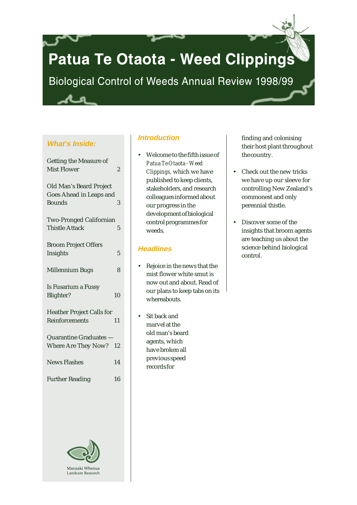# Patua Te Otaota - Weed Clippings

Biological Control of Weeds Annual Review 1998/99

# **What's Inside:**

| <b>Getting the Measure of</b><br><b>Mist Flower</b>                        | $\overline{2}$ |
|----------------------------------------------------------------------------|----------------|
| Old Man's Beard Project<br><b>Goes Ahead in Leaps and</b><br><b>Bounds</b> | 3              |
| <b>Two-Pronged Californian</b><br><b>Thistle Attack</b>                    | 5              |
| <b>Broom Project Offers</b><br>Insights                                    | 5              |
| <b>Millennium Bugs</b>                                                     | 8              |
| Is Fusarium a Fussy<br>Blighter?                                           | 10             |
| <b>Heather Project Calls for</b><br>Reinforcements                         | 11             |
| Quarantine Graduates -<br>Where Are They Now?                              | 12             |
| <b>News Flashes</b>                                                        | 14             |
| <b>Further Reading</b>                                                     | 16             |



# **Introduction**

• Welcome to the fifth issue of *Patua Te Otaota - Weed Clippings,* which we have published to keep clients, stakeholders, and research colleagues informed about our progress in the development of biological control programmes for weeds.

# **Headlines**

- Rejoice in the news that the mist flower white smut is now out and about. Read of our plans to keep tabs on its whereabouts.
- Sit back and marvel at the old man's beard agents, which have broken all previous speed records for

finding and colonising their host plant throughout the country.

- Check out the new tricks we have up our sleeve for controlling New Zealand's commonest and only perennial thistle.
- Discover some of the insights that broom agents are teaching us about the science behind biological control.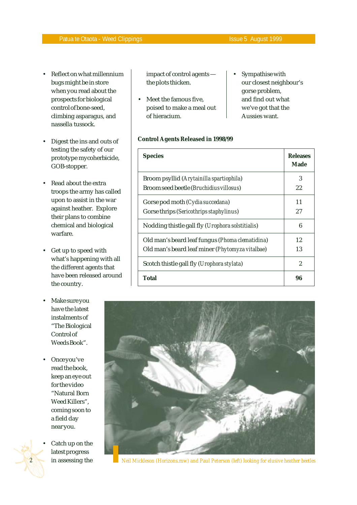- Reflect on what millennium bugs might be in store when you read about the prospects for biological control of bone-seed, climbing asparagus, and nassella tussock.
- Digest the ins and outs of testing the safety of our prototype mycoherbicide, GOB-stopper.
- Read about the extra troops the army has called upon to assist in the war against heather. Explore their plans to combine chemical and biological warfare.
- Get up to speed with what's happening with all the different agents that have been released around the country.
- Make sure you have the latest instalments of "The Biological Control of Weeds Book".
- Once you've read the book, keep an eye out for the video "Natural Born Weed Killers", coming soon to a field day near you.
- *2* Catch up on the latest progress

impact of control agents the plots thicken.

- Meet the famous five. poised to make a meal out of hieracium.
- Sympathise with our closest neighbour's gorse problem, and find out what we've got that the Aussies want.

# **Control Agents Released in 1998/99**

| <b>Species</b>                                   | <b>Releases</b><br>Made |
|--------------------------------------------------|-------------------------|
| Broom psyllid (Arytainilla spartiophila)         | 3                       |
| Broom seed beetle (Bruchidius villosus)          | 22                      |
| Gorse pod moth (Cydia succedana)                 | 11                      |
| Gorse thrips (Sericothrips staphylinus)          | 27                      |
| Nodding thistle gall fly (Urophora solstitialis) | 6                       |
| Old man's beard leaf fungus (Phoma clematidina)  | 12                      |
| Old man's beard leaf miner (Phytomyza vitalbae)  | 13                      |
| Scotch thistle gall fly (Urophora stylata)       | $\overline{2}$          |
| Total                                            | 96                      |



in assessing the *Neil Mickleson (Horizons.mw) and Paul Peterson (left) looking for elusive heather beetles*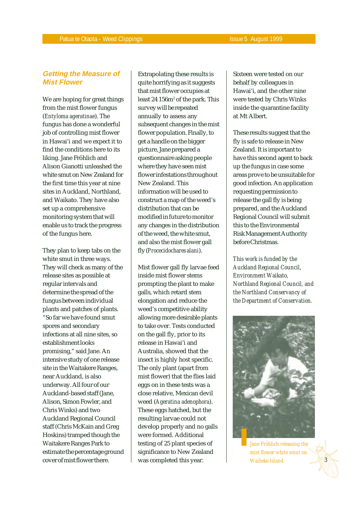# **Getting the Measure of Mist Flower**

We are hoping for great things from the mist flower fungus (*Entyloma ageratinae*). The fungus has done a wonderful job of controlling mist flower in Hawai'i and we expect it to find the conditions here to its liking. Jane Fröhlich and Alison Gianotti unleashed the white smut on New Zealand for the first time this year at nine sites in Auckland, Northland, and Waikato. They have also set up a comprehensive monitoring system that will enable us to track the progress of the fungus here.

They plan to keep tabs on the white smut in three ways. They will check as many of the release sites as possible at regular intervals and determine the spread of the fungus between individual plants and patches of plants. "So far we have found smut spores and secondary infections at all nine sites, so establishment looks promising," said Jane. An intensive study of one release site in the Waitakere Ranges, near Auckland, is also underway. All four of our Auckland-based staff (Jane, Alison, Simon Fowler, and Chris Winks) and two Auckland Regional Council staff (Chris McKain and Greg Hoskins) tramped though the Waitakere Ranges Park to estimate the percentage ground cover of mist flower there.

Extrapolating these results is quite horrifying as it suggests that mist flower occupies at least 24 156m² of the park. This survey will be repeated annually to assess any subsequent changes in the mist flower population. Finally, to get a handle on the bigger picture, Jane prepared a questionnaire asking people where they have seen mist flower infestations throughout New Zealand. This information will be used to construct a map of the weed's distribution that can be modified in future to monitor any changes in the distribution of the weed, the white smut, and also the mist flower gall fly (*Procecidochares alani*).

Mist flower gall fly larvae feed inside mist flower stems prompting the plant to make galls, which retard stem elongation and reduce the weed's competitive ability allowing more desirable plants to take over. Tests conducted on the gall fly, prior to its release in Hawai'i and Australia, showed that the insect is highly host specific. The only plant (apart from mist flower) that the flies laid eggs on in these tests was a close relative, Mexican devil weed (*Ageratina adenophora*). These eggs hatched, but the resulting larvae could not develop properly and no galls were formed. Additional testing of 25 plant species of significance to New Zealand was completed this year.

Sixteen were tested on our behalf by colleagues in Hawai'i, and the other nine were tested by Chris Winks inside the quarantine facility at Mt Albert.

These results suggest that the fly is safe to release in New Zealand. It is important to have this second agent to back up the fungus in case some areas prove to be unsuitable for good infection. An application requesting permission to release the gall fly is being prepared, and the Auckland Regional Council will submit this to the Environmental Risk Management Authority before Christmas.

*This work is funded by the Auckland Regional Council, Environment Waikato, Northland Regional Council, and the Northland Conservancy of the Department of Conservation.*



*Jane Fröhlich releasing the mist flower white smut on Waiheke Island.*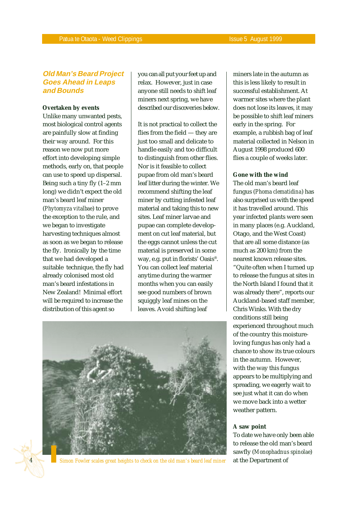# **Old Man's Beard Project Goes Ahead in Leaps and Bounds**

#### **Overtaken by events**

Unlike many unwanted pests, most biological control agents are painfully slow at finding their way around. For this reason we now put more effort into developing simple methods, early on, that people can use to speed up dispersal. Being such a tiny fly (1–2 mm long) we didn't expect the old man's beard leaf miner (*Phytomyza vitalbae*) to prove the exception to the rule, and we began to investigate harvesting techniques almost as soon as we began to release the fly. Ironically by the time that we had developed a suitable technique, the fly had already colonised most old man's beard infestations in New Zealand! Minimal effort will be required to increase the distribution of this agent so

*4*

you can all put your feet up and relax. However, just in case anyone still needs to shift leaf miners next spring, we have described our discoveries below.

It is not practical to collect the flies from the field — they are just too small and delicate to handle easily and too difficult to distinguish from other flies. Nor is it feasible to collect pupae from old man's beard leaf litter during the winter. We recommend shifting the leaf miner by cutting infested leaf material and taking this to new sites. Leaf miner larvae and pupae can complete development on cut leaf material, but the eggs cannot unless the cut material is preserved in some way, e.g. put in florists' Oasis®. You can collect leaf material anytime during the warmer months when you can easily see good numbers of brown squiggly leaf mines on the leaves. Avoid shifting leaf



*Simon Fowler scales great heights to check on the old man's beard leaf miner* at the Department of

miners late in the autumn as this is less likely to result in successful establishment. At warmer sites where the plant does not lose its leaves, it may be possible to shift leaf miners early in the spring. For example, a rubbish bag of leaf material collected in Nelson in August 1998 produced 600 flies a couple of weeks later.

#### **Gone with the wind**

The old man's beard leaf fungus (*Phoma clematidina*) has also surprised us with the speed it has travelled around. This year infected plants were seen in many places (e.g. Auckland, Otago, and the West Coast) that are all some distance (as much as 200 km) from the nearest known release sites. "Quite often when I turned up to release the fungus at sites in the North Island I found that it was already there", reports our Auckland-based staff member, Chris Winks. With the dry conditions still being experienced throughout much of the country this moistureloving fungus has only had a chance to show its true colours in the autumn. However, with the way this fungus appears to be multiplying and spreading, we eagerly wait to see just what it can do when we move back into a wetter weather pattern.

#### **A saw point**

To date we have only been able to release the old man's beard sawfly (*Monophadnus spinolae*)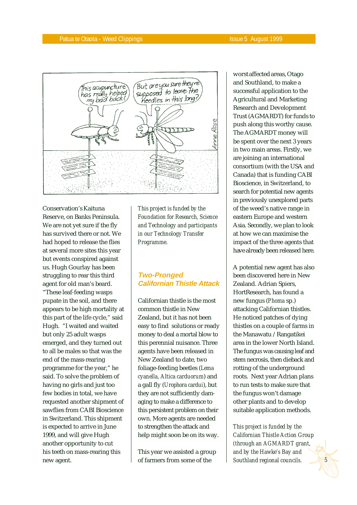

Conservation's Kaituna Reserve, on Banks Peninsula. We are not yet sure if the fly has survived there or not. We had hoped to release the flies at several more sites this year but events conspired against us. Hugh Gourlay has been struggling to rear this third agent for old man's beard. "These leaf-feeding wasps pupate in the soil, and there appears to be high mortality at this part of the life cycle," said Hugh. "I waited and waited but only 25 adult wasps emerged, and they turned out to all be males so that was the end of the mass-rearing programme for the year," he said. To solve the problem of having no girls and just too few bodies in total, we have requested another shipment of sawflies from CABI Bioscience in Switzerland. This shipment is expected to arrive in June 1999, and will give Hugh another opportunity to cut his teeth on mass-rearing this new agent.

*This project is funded by the Foundation for Research, Science and Technology and participants in our Technology Transfer Programme.*

# **Two-Pronged Californian Thistle Attack**

Californian thistle is the most common thistle in New Zealand, but it has not been easy to find solutions or ready money to deal a mortal blow to this perennial nuisance. Three agents have been released in New Zealand to date, two foliage-feeding beetles (*Lema cyanella, Altica carduorum*) and a gall fly (*Urophora cardui*), but they are not sufficiently damaging to make a difference to this persistent problem on their own. More agents are needed to strengthen the attack and help might soon be on its way.

This year we assisted a group of farmers from some of the

worst affected areas, Otago and Southland, to make a successful application to the Agricultural and Marketing Research and Development Trust (AGMARDT) for funds to push along this worthy cause. The AGMARDT money will be spent over the next 3 years in two main areas. Firstly, we are joining an international consortium (with the USA and Canada) that is funding CABI Bioscience, in Switzerland, to search for potential new agents in previously unexplored parts of the weed's native range in eastern Europe and western Asia. Secondly, we plan to look at how we can maximise the impact of the three agents that have already been released here.

A potential new agent has also been discovered here in New Zealand. Adrian Spiers, HortResearch, has found a new fungus (*Phoma* sp.) attacking Californian thistles. He noticed patches of dying thistles on a couple of farms in the Manawatu /Rangatikei area in the lower North Island. The fungus was causing leaf and stem necrosis, then dieback and rotting of the underground roots. Next year Adrian plans to run tests to make sure that the fungus won't damage other plants and to develop suitable application methods.

*This project is funded by the Californian Thistle Action Group (through an AGMARDT grant, and by the Hawke's Bay and Southland regional councils.*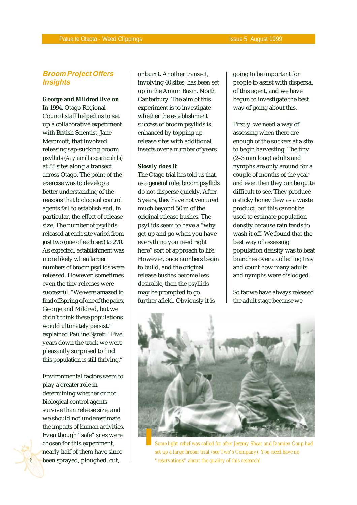# **Broom Project Offers Insights**

#### **George and Mildred live on**

In 1994, Otago Regional Council staff helped us to set up a collaborative experiment with British Scientist, Jane Memmott, that involved releasing sap-sucking broom psyllids (*Arytainilla spartiophila)* at 55 sites along a transect across Otago. The point of the exercise was to develop a better understanding of the reasons that biological control agents fail to establish and, in particular, the effect of release size. The number of psyllids released at each site varied from just two (one of each sex) to 270. As expected, establishment was more likely when larger numbers of broom psyllids were released. However, sometimes even the tiny releases were successful. "We were amazed to find offspring of one of the pairs, George and Mildred, but we didn't think these populations would ultimately persist," explained Pauline Syrett. "Five years down the track we were pleasantly surprised to find this population is still thriving."

Environmental factors seem to play a greater role in determining whether or not biological control agents survive than release size, and we should not underestimate the impacts of human activities. Even though "safe" sites were chosen for this experiment, nearly half of them have since been sprayed, ploughed, cut,

*6*

or burnt. Another transect, involving 40 sites, has been set up in the Amuri Basin, North Canterbury. The aim of this experiment is to investigate whether the establishment success of broom psyllids is enhanced by topping up release sites with additional insects over a number of years.

#### **Slowly does it**

The Otago trial has told us that, as a general rule, broom psyllids do not disperse quickly. After 5 years, they have not ventured much beyond 50 m of the original release bushes. The psyllids seem to have a "why get up and go when you have everything you need right here" sort of approach to life. However, once numbers begin to build, and the original release bushes become less desirable, then the psyllids may be prompted to go further afield. Obviously it is

going to be important for people to assist with dispersal of this agent, and we have begun to investigate the best way of going about this.

Firstly, we need a way of assessing when there are enough of the suckers at a site to begin harvesting. The tiny (2–3 mm long) adults and nymphs are only around for a couple of months of the year and even then they can be quite difficult to see. They produce a sticky honey dew as a waste product, but this cannot be used to estimate population density because rain tends to wash it off. We found that the best way of assessing population density was to beat branches over a collecting tray and count how many adults and nymphs were dislodged.

So far we have always released the adult stage because we



*Some light relief was called for after Jeremy Sheat and Damien Coup had set up a large broom trial (see Two's Company). You need have no "reservations" about the quality of this research!*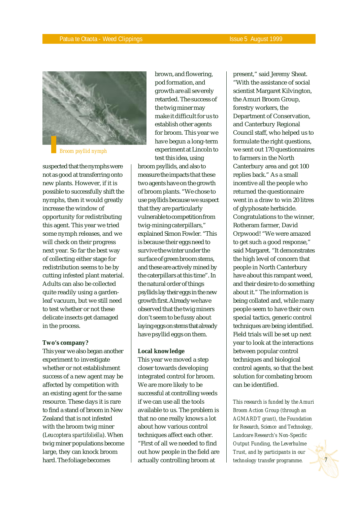

*Broom psyllid nymph*

suspected that the nymphs were not as good at transferring onto new plants. However, if it is possible to successfully shift the nymphs, then it would greatly increase the window of opportunity for redistributing this agent. This year we tried some nymph releases, and we will check on their progress next year. So far the best way of collecting either stage for redistribution seems to be by cutting infested plant material. Adults can also be collected quite readily using a gardenleaf vacuum, but we still need to test whether or not these delicate insects get damaged in the process.

#### **Two's company?**

This year we also began another experiment to investigate whether or not establishment success of a new agent may be affected by competition with an existing agent for the same resource. These days it is rare to find a stand of broom in New Zealand that is not infested with the broom twig miner (*Leucoptera spartifoliella*). When twig miner populations become large, they can knock broom hard. The foliage becomes

brown, and flowering, pod formation, and growth are all severely retarded. The success of the twig miner may make it difficult for us to establish other agents for broom. This year we have begun a long-term experiment at Lincoln to test this idea, using

broom psyllids, and also to measure the impacts that these two agents have on the growth of broom plants. "We chose to use psyllids because we suspect that they are particularly vulnerable to competition from twig-mining caterpillars," explained Simon Fowler. "This is because their eggs need to survive the winter under the surface of green broom stems, and these are actively mined by the caterpillars at this time". In the natural order of things psyllids lay their eggs in the new growth first. Already we have observed that the twig miners don't seem to be fussy about laying eggs on stems that already have psyllid eggs on them.

#### **Local knowledge**

This year we moved a step closer towards developing integrated control for broom. We are more likely to be successful at controlling weeds if we can use all the tools available to us. The problem is that no one really knows a lot about how various control techniques affect each other. "First of all we needed to find out how people in the field are actually controlling broom at

present," said Jeremy Sheat. "With the assistance of social scientist Margaret Kilvington, the Amuri Broom Group, forestry workers, the Department of Conservation, and Canterbury Regional Council staff, who helped us to formulate the right questions, we sent out 170 questionnaires to farmers in the North Canterbury area and got 100 replies back." As a small incentive all the people who returned the questionnaire went in a draw to win 20 litres of glyphosate herbicide. Congratulations to the winner, Rotheram farmer, David Orpwood! "We were amazed to get such a good response," said Margaret. "It demonstrates the high level of concern that people in North Canterbury have about this rampant weed, and their desire to do something about it." The information is being collated and, while many people seem to have their own special tactics, generic control techniques are being identified. Field trials will be set up next year to look at the interactions between popular control techniques and biological control agents, so that the best solution for combating broom can be identified.

*This research is funded by the Amuri Broom Action Group (through an AGMARDT grant), the Foundation for Research, Science and Technology, Landcare Research's Non-Specific Output Funding, the Leverhulme Trust, and by participants in our technology transfer programme.*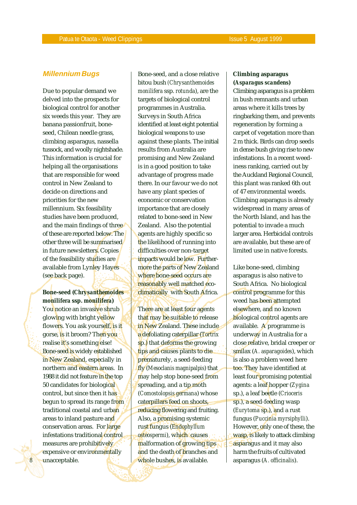# **Millennium Bugs**

Due to popular demand we delved into the prospects for biological control for another six weeds this year. They are banana passionfruit, boneseed, Chilean needle grass, climbing asparagus, nassella tussock, and woolly nightshade. This information is crucial for helping all the organisations that are responsible for weed control in New Zealand to decide on directions and priorities for the new millennium. Six feasibility studies have been produced, and the main findings of three of these are reported below. The other three will be summarised in future newsletters. Copies of the feasibility studies are available from Lynley Hayes (see back page).

# **Bone-seed (***Chrysanthemoides monilifera* **ssp.** *monilifera***)**

You notice an invasive shrub glowing with bright yellow flowers. You ask yourself, is it gorse, is it broom? Then you realise it's something else! Bone-seed is widely established in New Zealand, especially in northern and eastern areas. In 1988 it did not feature in the top 50 candidates for biological control, but since then it has begun to spread its range from traditional coastal and urban areas to inland pasture and conservation areas. For large infestations traditional control measures are prohibitively expensive or environmentally unacceptable.

*8*

Bone-seed, and a close relative bitou bush *(Chrysanthemoides monilifera* ssp. *rotunda*), are the targets of biological control programmes in Australia. Surveys in South Africa identified at least eight potential biological weapons to use against these plants. The initial results from Australia are promising and New Zealand is in a good position to take advantage of progress made there. In our favour we do not have any plant species of economic or conservation importance that are closely related to bone-seed in New Zealand. Also the potential agents are highly specific so the likelihood of running into difficulties over non-target impacts would be low. Furthermore the parts of New Zealand where bone-seed occurs are reasonably well matched ecoclimatically with South Africa.

There are at least four agents that may be suitable to release in New Zealand. These include a defoliating caterpillar (*Tortrix* sp.) that deforms the growing tips and causes plants to die prematurely, a seed-feeding fly (*Mesoclanis magnipalpis*) that may help stop bone-seed from spreading, and a tip moth (*Comostolopsis germana*) whose caterpillars feed on shoots, reducing flowering and fruiting. Also, a promising systemic rust fungus (*Endophyllum osteospermi*), which causes malformation of growing tips and the death of branches and whole bushes, is available.

#### **Climbing asparagus (***Asparagus scandens***)**

Climbing asparagus is a problem in bush remnants and urban areas where it kills trees by ringbarking them, and prevents regeneration by forming a carpet of vegetation more than 2 m thick. Birds can drop seeds in dense bush giving rise to new infestations. In a recent weediness ranking, carried out by the Auckland Regional Council, this plant was ranked 6th out of 47 environmental weeds. Climbing asparagus is already widespread in many areas of the North Island, and has the potential to invade a much larger area. Herbicidal controls are available, but these are of limited use in native forests.

Like bone-seed, climbing asparagus is also native to South Africa. No biological control programme for this weed has been attempted elsewhere, and no known biological control agents are available. A programme is underway in Australia for a close relative, bridal creeper or smilax (*A. asparagoides*), which is also a problem weed here too. They have identified at least four promising potential agents: a leaf hopper (*Zygina* sp.), a leaf beetle (*Crioceris* sp.), a seed-feeding wasp (*Eurytoma* sp.), and a rust fungus (*Puccinia myrsiphylli*). However, only one of these, the wasp, is likely to attack climbing asparagus and it may also harm the fruits of cultivated asparagus (*A. officinalis*).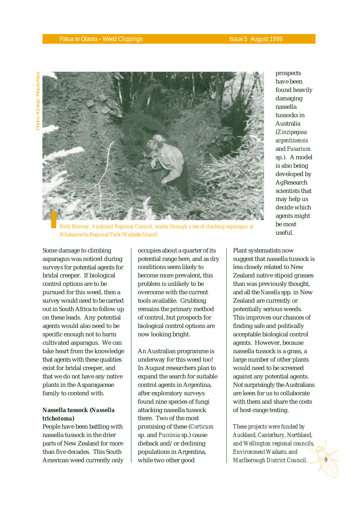

prospects have been found heavily damaging nassella tussocks in Australia (*Zinzipegasa argentinensis* and *Fusarium* sp.). A model is also being developed by AgResearch scientists that may help us decide which agents might be most useful.

*Ruth Bunney, Auckland Regional Council, wades through a sea of climbing asparagus at Whakanewha Regional Park (Waiheke Island)*

Some damage to climbing asparagus was noticed during surveys for potential agents for bridal creeper. If biological control options are to be pursued for this weed, then a survey would need to be carried out in South Africa to follow up on these leads. Any potential agents would also need to be specific enough not to harm cultivated asparagus. We can take heart from the knowledge that agents with these qualities exist for bridal creeper, and that we do not have any native plants in the Asparagaceae family to contend with.

# **Nassella tussock (***Nassella trichotoma***)**

People have been battling with nassella tussock in the drier parts of New Zealand for more than five decades. This South American weed currently only

occupies about a quarter of its potential range here, and as dry conditions seem likely to become more prevalent, this problem is unlikely to be overcome with the current tools available. Grubbing remains the primary method of control, but prospects for biological control options are now looking bright.

An Australian programme is underway for this weed too! In August researchers plan to expand the search for suitable control agents in Argentina, after exploratory surveys found nine species of fungi attacking nassella tussock there. Two of the most promising of these (*Corticum* sp. and *Puccinia* sp.) cause dieback and/or declining populations in Argentina, while two other good

Plant systematists now suggest that nassella tussock is less closely related to New Zealand native stipoid grasses than was previously thought, and all the *Nassella* spp. in New Zealand are currently or potentially serious weeds. This improves our chances of finding safe and politically acceptable biological control agents. However, because nassella tussock is a grass, a large number of other plants would need to be screened against any potential agents. Not surprisingly the Australians are keen for us to collaborate with them and share the costs of host-range testing.

*These projects were funded by Auckland, Canterbury, Northland, and Wellington regional councils, Environment Waikato, and Marlborough District Council.*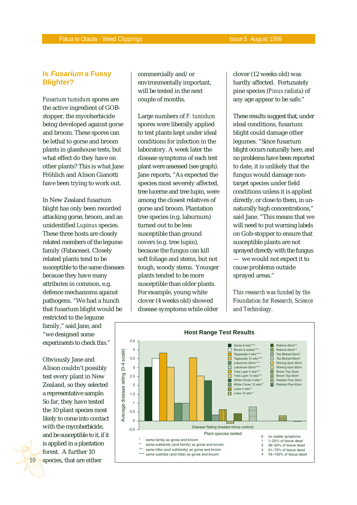# **Is Fusarium a Fussy Blighter?**

*Fusarium tumidum* spores are the active ingredient of GOBstopper, the mycoherbicide being developed against gorse and broom. These spores can be lethal to gorse and broom plants in glasshouse tests, but what effect do they have on other plants? This is what Jane Fröhlich and Alison Gianotti have been trying to work out.

In New Zealand fusarium blight has only been recorded attacking gorse, broom, and an unidentified *Lupinus* species. These three hosts are closely related members of the legume family (Fabaceae). Closely related plants tend to be susceptible to the same diseases because they have many attributes in common, e.g. defence mechanisms against pathogens. "We had a hunch that fusarium blight would be

restricted to the legume family," said Jane, and "we designed some experiments to check this."

Obviously Jane and Alison couldn't possibly test every plant in New Zealand, so they selected a representative sample. So far, they have tested the 10 plant species most likely to come into contact with the mycoherbicide, and be susceptible to it, if it is applied in a plantation forest. A further 10 species, that are either

*10*

commercially and/or environmentally important, will be tested in the next couple of months.

Large numbers of *F. tumidum* spores were liberally applied to test plants kept under ideal conditions for infection in the laboratory. A week later the disease symptoms of each test plant were assessed (see graph). Jane reports, "As expected the species most severely affected, tree lucerne and tree lupin, were among the closest relatives of gorse and broom. Plantation tree species (e.g. laburnum) turned out to be less susceptible than ground covers (e.g. tree lupin), because the fungus can kill soft foliage and stems, but not tough, woody stems. Younger plants tended to be more susceptible than older plants. For example, young white clover (4 weeks old) showed disease symptoms while older

clover (12 weeks old) was hardly affected. Fortunately pine species (*Pinus radiata*) of any age appear to be safe."

These results suggest that, under ideal conditions, fusarium blight could damage other legumes. "Since fusarium blight occurs naturally here, and no problems have been reported to date, it is unlikely that the fungus would damage nontarget species under field conditions unless it is applied directly, or close to them, in unnaturally high concentrations," said Jane. "This means that we will need to put warning labels on Gob-stopper to ensure that susceptible plants are not sprayed directly with the fungus — we would not expect it to cause problems outside sprayed areas."

*This research was funded by the Foundation for Research, Science and Technology.*

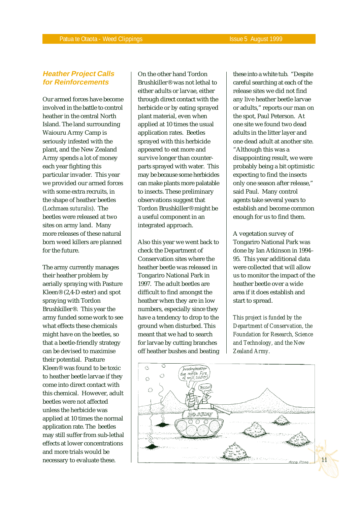# **Heather Project Calls for Reinforcements**

Our armed forces have become involved in the battle to control heather in the central North Island. The land surrounding Waiouru Army Camp is seriously infested with the plant, and the New Zealand Army spends a lot of money each year fighting this particular invader. This year we provided our armed forces with some extra recruits, in the shape of heather beetles (*Lochmaea suturalis*). The beetles were released at two sites on army land. Many more releases of these natural born weed killers are planned for the future.

The army currently manages their heather problem by aerially spraying with Pasture Kleen® (2,4-D ester) and spot spraying with Tordon Brushkiller®. This year the army funded some work to see what effects these chemicals might have on the beetles, so that a beetle-friendly strategy can be devised to maximise their potential. Pasture Kleen® was found to be toxic to heather beetle larvae if they come into direct contact with this chemical. However, adult beetles were not affected unless the herbicide was applied at 10 times the normal application rate. The beetles may still suffer from sub-lethal effects at lower concentrations and more trials would be necessary to evaluate these.

On the other hand Tordon Brushkiller® was not lethal to either adults or larvae, either through direct contact with the herbicide or by eating sprayed plant material, even when applied at 10 times the usual application rates. Beetles sprayed with this herbicide appeared to eat more and survive longer than counterparts sprayed with water. This may be because some herbicides can make plants more palatable to insects. These preliminary observations suggest that Tordon Brushkiller® might be a useful component in an integrated approach.

Also this year we went back to check the Department of Conservation sites where the heather beetle was released in Tongariro National Park in 1997. The adult beetles are difficult to find amongst the heather when they are in low numbers, especially since they have a tendency to drop to the ground when disturbed. This meant that we had to search for larvae by cutting branches off heather bushes and beating these into a white tub. "Despite careful searching at each of the release sites we did not find any live heather beetle larvae or adults," reports our man on the spot, Paul Peterson. At one site we found two dead adults in the litter layer and one dead adult at another site. "Although this was a disappointing result, we were probably being a bit optimistic expecting to find the insects only one season after release," said Paul. Many control agents take several years to establish and become common enough for us to find them.

A vegetation survey of Tongariro National Park was done by Ian Atkinson in 1994– 95. This year additional data were collected that will allow us to monitor the impact of the heather beetle over a wide area if it does establish and start to spread.

*This project is funded by the Department of Conservation, the Foundation for Research, Science and Technology, and the New Zealand Army.*

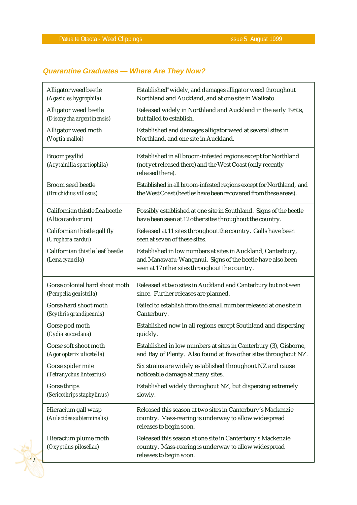# **Quarantine Graduates — Where Are They Now?**

| Alligator weed beetle                              | Established' widely, and damages alligator weed throughout                                                                                                                  |
|----------------------------------------------------|-----------------------------------------------------------------------------------------------------------------------------------------------------------------------------|
| (Agasicles hygrophila)                             | Northland and Auckland, and at one site in Waikato.                                                                                                                         |
| Alligator weed beetle                              | Released widely in Northland and Auckland in the early 1980s,                                                                                                               |
| (Disonycha argentinensis)                          | but failed to establish.                                                                                                                                                    |
| Alligator weed moth                                | Established and damages alligator weed at several sites in                                                                                                                  |
| (Vogtia malloi)                                    | Northland, and one site in Auckland.                                                                                                                                        |
| <b>Broom</b> psyllid<br>(Arytainilla spartiophila) | Established in all broom-infested regions except for Northland<br>(not yet released there) and the West Coast (only recently<br>released there).                            |
| <b>Broom seed beetle</b>                           | Established in all broom-infested regions except for Northland, and                                                                                                         |
| (Bruchidius villosus)                              | the West Coast (beetles have been recovered from these areas).                                                                                                              |
| Californian thistle flea beetle                    | Possibly established at one site in Southland. Signs of the beetle                                                                                                          |
| (Altica carduorum)                                 | have been seen at 12 other sites throughout the country.                                                                                                                    |
| Californian thistle gall fly                       | Released at 11 sites throughout the country. Galls have been                                                                                                                |
| (Urophora cardui)                                  | seen at seven of these sites.                                                                                                                                               |
| Californian thistle leaf beetle<br>(Lema cyanella) | Established in low numbers at sites in Auckland, Canterbury,<br>and Manawatu-Wanganui. Signs of the beetle have also been<br>seen at 17 other sites throughout the country. |
| Gorse colonial hard shoot moth                     | Released at two sites in Auckland and Canterbury but not seen                                                                                                               |
| (Pempelia genistella)                              | since. Further releases are planned.                                                                                                                                        |
| Gorse hard shoot moth                              | Failed to establish from the small number released at one site in                                                                                                           |
| (Scythris grandipennis)                            | Canterbury.                                                                                                                                                                 |
| Gorse pod moth                                     | Established now in all regions except Southland and dispersing                                                                                                              |
| (Cydia succedana)                                  | quickly.                                                                                                                                                                    |
| Gorse soft shoot moth                              | Established in low numbers at sites in Canterbury (3), Gisborne,                                                                                                            |
| (Agonopterix ulicetella)                           | and Bay of Plenty. Also found at five other sites throughout NZ.                                                                                                            |
| Gorse spider mite                                  | Six strains are widely established throughout NZ and cause                                                                                                                  |
| (Tetranychus lintearius)                           | noticeable damage at many sites.                                                                                                                                            |
| Gorse thrips                                       | Established widely throughout NZ, but dispersing extremely                                                                                                                  |
| (Sericothrips staphylinus)                         | slowly.                                                                                                                                                                     |
| Hieracium gall wasp                                | Released this season at two sites in Canterbury's Mackenzie                                                                                                                 |
| (Aulacidea subterminalis)                          | country. Mass-rearing is underway to allow widespread                                                                                                                       |
|                                                    | releases to begin soon.                                                                                                                                                     |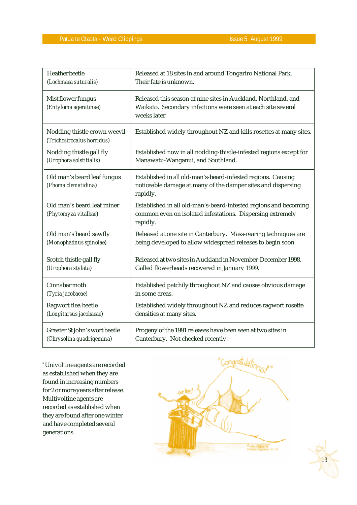| <b>Heather</b> beetle                                      | Released at 18 sites in and around Tongariro National Park.                                                                                    |
|------------------------------------------------------------|------------------------------------------------------------------------------------------------------------------------------------------------|
| (Lochmaea suturalis)                                       | Their fate is unknown.                                                                                                                         |
| Mist flower fungus<br>(Entyloma ageratinae)                | Released this season at nine sites in Auckland, Northland, and<br>Waikato. Secondary infections were seen at each site several<br>weeks later. |
| Nodding thistle crown weevil<br>(Trichosirocalus horridus) | Established widely throughout NZ and kills rosettes at many sites.                                                                             |
| Nodding thistle gall fly                                   | Established now in all nodding-thistle-infested regions except for                                                                             |
| (Urophora solstitialis)                                    | Manawatu-Wanganui, and Southland.                                                                                                              |
| Old man's beard leaf fungus<br>(Phoma clematidina)         | Established in all old-man's-beard-infested regions. Causing<br>noticeable damage at many of the damper sites and dispersing<br>rapidly.       |
| Old man's beard leaf miner<br>(Phytomyza vitalbae)         | Established in all old-man's-beard-infested regions and becoming<br>common even on isolated infestations. Dispersing extremely<br>rapidly.     |
| Old man's beard sawfly                                     | Released at one site in Canterbury. Mass-rearing techniques are                                                                                |
| (Monophadnus spinolae)                                     | being developed to allow widespread releases to begin soon.                                                                                    |
| Scotch thistle gall fly                                    | Released at two sites in Auckland in November-December 1998.                                                                                   |
| (Urophora stylata)                                         | Galled flowerheads recovered in January 1999.                                                                                                  |
| Cinnabar moth                                              | Established patchily throughout NZ and causes obvious damage                                                                                   |
| (Tyria jacobaeae)                                          | in some areas.                                                                                                                                 |
| Ragwort flea beetle                                        | Established widely throughout NZ and reduces ragwort rosette                                                                                   |
| (Longitarsus jacobaeae)                                    | densities at many sites.                                                                                                                       |
| Greater St John's wort beetle                              | Progeny of the 1991 releases have been seen at two sites in                                                                                    |
| (Chrysolina quadrigemina)                                  | Canterbury. Not checked recently.                                                                                                              |

\* Univoltine agents are recorded as established when they are found in increasing numbers for 2 or more years after release. Multivoltine agents are recorded as established when they are found after one winter and have completed several generations.



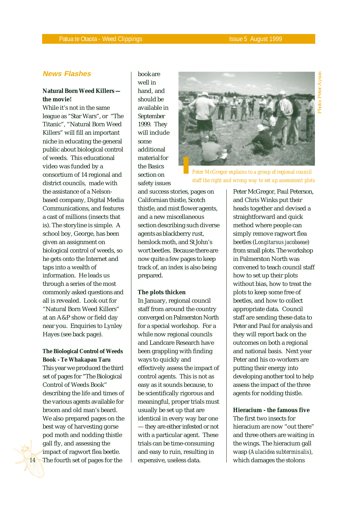# **News Flashes**

# **Natural Born Weed Killers the movie!**

While it's not in the same league as "Star Wars", or "The Titanic", "Natural Born Weed Killers" will fill an important niche in educating the general public about biological control of weeds. This educational video was funded by a consortium of 14 regional and district councils, made with the assistance of a Nelsonbased company, Digital Media Communications, and features a cast of millions (insects that is). The storyline is simple. A school boy, George, has been given an assignment on biological control of weeds, so he gets onto the Internet and taps into a wealth of information. He leads us through a series of the most commonly asked questions and all is revealed. Look out for "Natural Born Weed Killers" at an A&P show or field day near you. Enquiries to Lynley Hayes (see back page).

**The Biological Control of Weeds Book - Te Whakapau Taru**

This year we produced the third set of pages for "The Biological Control of Weeds Book" describing the life and times of the various agents available for broom and old man's beard. We also prepared pages on the best way of harvesting gorse pod moth and nodding thistle gall fly, and assessing the impact of ragwort flea beetle. The fourth set of pages for the

book are well in hand, and should be available in September 1999. They will include some additional material for the Basics section on safety issues



*Peter McGregor explains to a group of regional council staff the right and wrong way to set up assessment plots*

and success stories, pages on Californian thistle, Scotch thistle, and mist flower agents, and a new miscellaneous section describing such diverse agents as blackberry rust, hemlock moth, and St John's wort beetles. Because there are now quite a few pages to keep track of, an index is also being prepared.

#### **The plots thicken**

In January, regional council staff from around the country converged on Palmerston North for a special workshop. For a while now regional councils and Landcare Research have been grappling with finding ways to quickly and effectively assess the impact of control agents. This is not as easy as it sounds because, to be scientifically rigorous and meaningful, proper trials must usually be set up that are identical in every way bar one — they are either infested or not with a particular agent. These trials can be time-consuming and easy to ruin, resulting in expensive, useless data.

Peter McGregor, Paul Peterson, and Chris Winks put their heads together and devised a straightforward and quick method where people can simply remove ragwort flea beetles (*Longitarsus jacobaeae*) from small plots. The workshop in Palmerston North was convened to teach council staff how to set up their plots without bias, how to treat the plots to keep some free of beetles, and how to collect appropriate data. Council staff are sending these data to Peter and Paul for analysis and they will report back on the outcomes on both a regional and national basis. Next year Peter and his co-workers are putting their energy into developing another tool to help assess the impact of the three agents for nodding thistle.

# **Hieracium - the famous five**

The first two insects for hieracium are now "out there" and three others are waiting in the wings. The hieracium gall wasp (*Aulacidea subterminalis*), which damages the stolons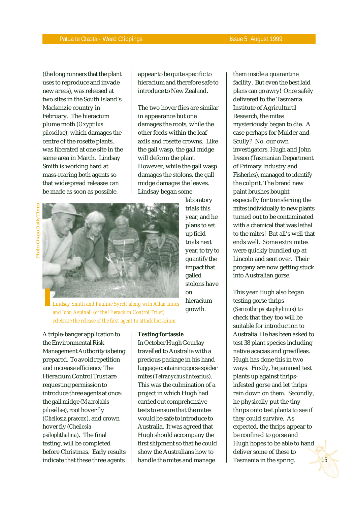(the long runners that the plant uses to reproduce and invade new areas), was released at two sites in the South Island's Mackenzie country in February. The hieracium plume moth (*Oxyptilus pilosella*e), which damages the centre of the rosette plants, was liberated at one site in the same area in March. Lindsay Smith is working hard at mass-rearing both agents so that widespread releases can be made as soon as possible.

appear to be quite specific to hieracium and therefore safe to introduce to New Zealand.

The two hover flies are similar in appearance but one damages the roots, while the other feeds within the leaf axils and rosette crowns. Like the gall wasp, the gall midge will deform the plant. However, while the gall wasp damages the stolons, the gall midge damages the leaves. Lindsay began some



laboratory trials this year, and he plans to set up field trials next year, to try to quantify the impact that galled stolons have on hieracium growth.

*Lindsay Smith and Pauline Syrett along with Allan Innes and John Aspinall (of the Hieracium Control Trust) celebrate the release of the first agent to attack hieracium*

A triple-banger application to the Environmental Risk Management Authority is being prepared. To avoid repetition and increase efficiency The Hieracium Control Trust are requesting permission to introduce three agents at once: the gall midge (*Macrolabis pilosellae*), root hover fly (*Cheilosia praecox*), and crown hover fly (*Cheilosia psilophthalma*). The final testing, will be completed before Christmas. Early results indicate that these three agents

#### **Testing for tassie**

In October Hugh Gourlay travelled to Australia with a precious package in his hand luggage containing gorse spider mites (*Tetranychus lintearius*). This was the culmination of a project in which Hugh had carried out comprehensive tests to ensure that the mites would be safe to introduce to Australia. It was agreed that Hugh should accompany the first shipment so that he could show the Australians how to handle the mites and manage

them inside a quarantine facility. But even the best laid plans can go awry! Once safely delivered to the Tasmania Institute of Agricultural Research, the mites mysteriously began to die. A case perhaps for Mulder and Scully? No, our own investigators, Hugh and John Ireson (Tasmanian Department of Primary Industry and Fisheries), managed to identify the culprit. The brand new paint brushes bought especially for transferring the mites individually to new plants turned out to be contaminated with a chemical that was lethal to the mites! But all's well that ends well. Some extra mites were quickly bundled up at Lincoln and sent over. Their progeny are now getting stuck into Australian gorse.

This year Hugh also began testing gorse thrips (*Sericothrips staphylinus*) to check that they too will be suitable for introduction to Australia. He has been asked to test 38 plant species including native acacias and grevilleas. Hugh has done this in two ways. Firstly, he jammed test plants up against thripsinfested gorse and let thrips rain down on them. Secondly, he physically put the tiny thrips onto test plants to see if they could survive. As expected, the thrips appear to be confined to gorse and Hugh hopes to be able to hand deliver some of these to Tasmania in the spring.